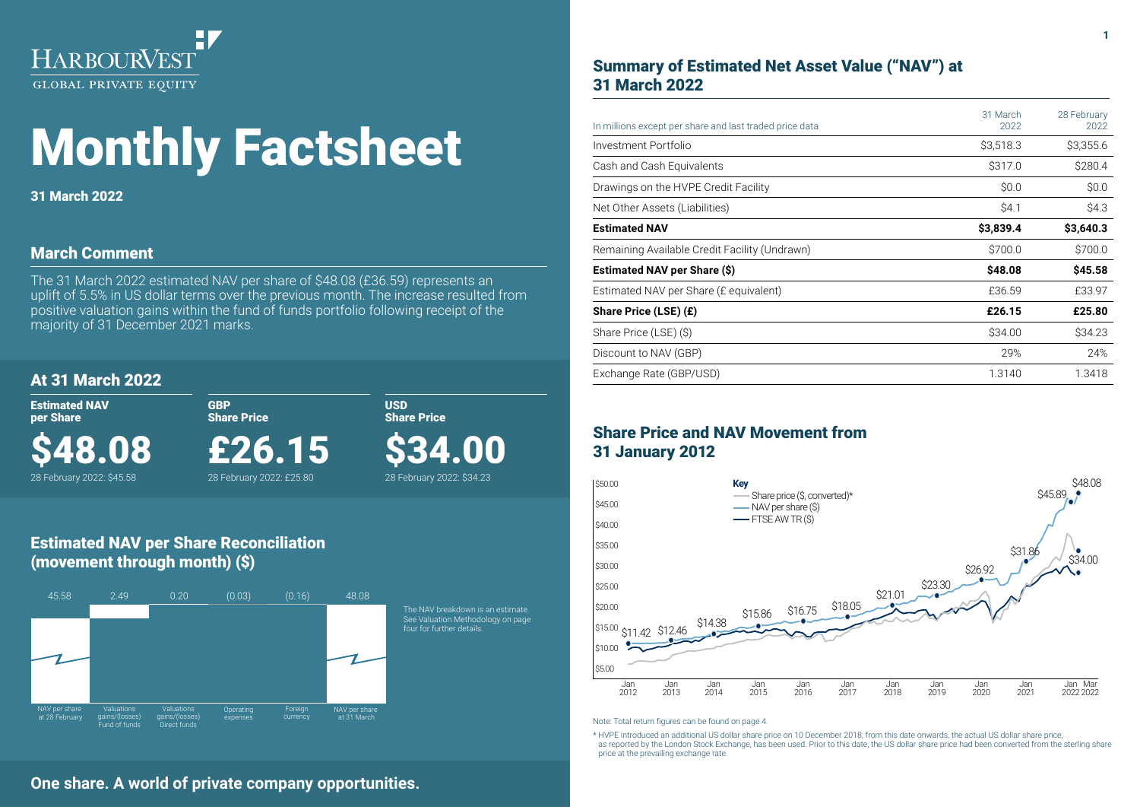

# Monthly Factsheet

31 March 2022

# March Comment

The 31 March 2022 estimated NAV per share of \$48.08 (£36.59) represents an uplift of 5.5% in US dollar terms over the previous month. The increase resulted from positive valuation gains within the fund of funds portfolio following receipt of the majority of 31 December 2021 marks.

# At 31 March 2022

\$48.08 28 February 2022: \$45.58

Estimated NAV per Share

GBP Share Price

USD Share Price

\$34.00 28 February 2022: \$34.23

£26.15

28 February 2022: £25.80

# Estimated NAV per Share Reconciliation (movement through month) (\$)



# Summary of Estimated Net Asset Value ("NAV") at 31 March 2022

| In millions except per share and last traded price data | 31 March<br>2022 | 28 February<br>2022 |
|---------------------------------------------------------|------------------|---------------------|
| Investment Portfolio                                    | \$3,518.3        | \$3,355.6           |
| Cash and Cash Equivalents                               | \$317.0          | \$280.4             |
| Drawings on the HVPE Credit Facility                    | \$0.0            | \$0.0               |
| Net Other Assets (Liabilities)                          | \$4.1            | \$4.3               |
| <b>Estimated NAV</b>                                    | \$3,839.4        | \$3,640.3           |
| Remaining Available Credit Facility (Undrawn)           | \$700.0          | \$700.0             |
| Estimated NAV per Share (\$)                            | \$48.08          | \$45.58             |
| Estimated NAV per Share (£ equivalent)                  | £36.59           | £33.97              |
| Share Price (LSE) (£)                                   | £26.15           | £25.80              |
| Share Price (LSE) (\$)                                  | \$34.00          | \$34.23             |
| Discount to NAV (GBP)                                   | 29%              | 24%                 |
| Exchange Rate (GBP/USD)                                 | 1.3140           | 1.3418              |

# Share Price and NAV Movement from 31 January 2012



Note: Total return figures can be found on page 4.

\* HVPE introduced an additional US dollar share price on 10 December 2018; from this date onwards, the actual US dollar share price, as reported by the London Stock Exchange, has been used. Prior to this date, the US dollar share price had been converted from the sterling share price at the prevailing exchange rate.

# **One share. A world of private company opportunities.**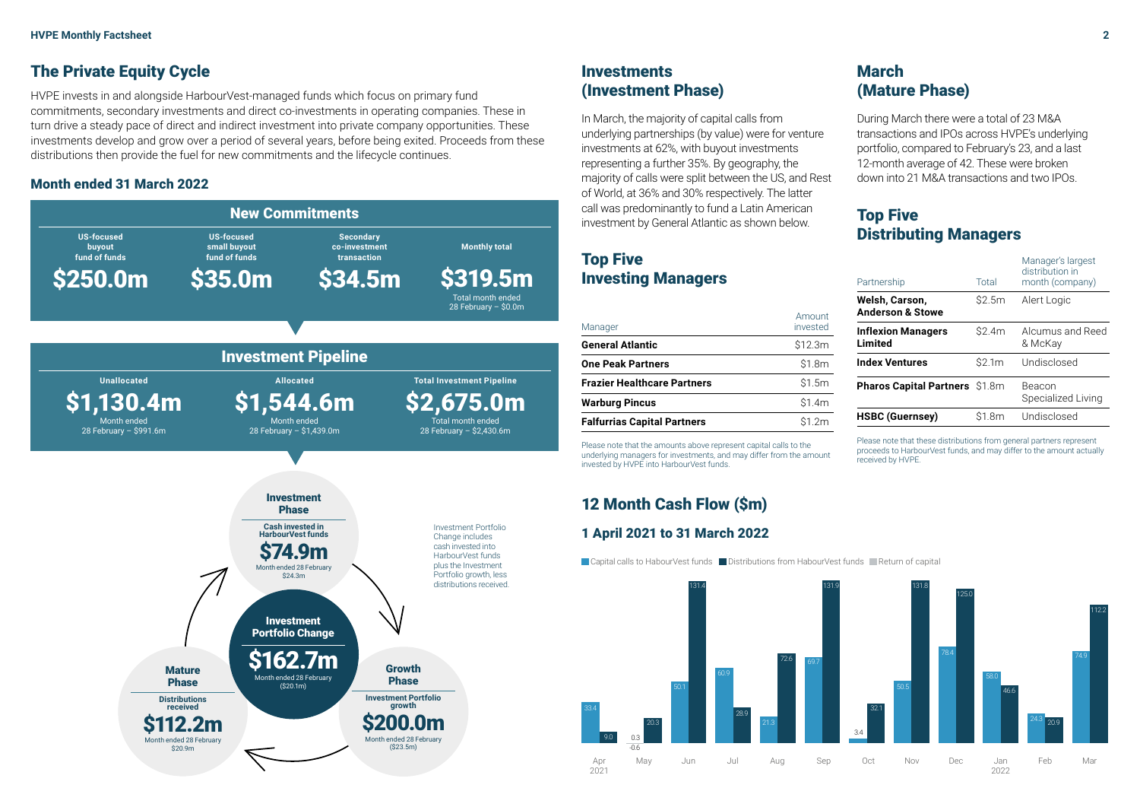# **The Private Equity Cycle**

HVPE invests in and alongside HarbourVest-managed funds which focus on primary fund commitments, secondary investments and direct co-investments in operating companies. These in turn drive a steady pace of direct and indirect investment into private company opportunities. These investments develop and grow over a period of several years, before being exited. Proceeds from these distributions then provide the fuel for new commitments and the lifecycle continues.

### Month ended 31 March 2022



# **Investments** (Investment Phase)

In March, the majority of capital calls from underlying partnerships (by value) were for venture investments at 62%, with buyout investments representing a further 35%. By geography, the majority of calls were split between the US, and Rest of World, at 36% and 30% respectively. The latter call was predominantly to fund a Latin American investment by General Atlantic as shown below.

# Top Five Investing Managers

| Manager                     | Amount<br>invested |
|-----------------------------|--------------------|
| General Atlantic            | \$12.3m            |
| <b>One Peak Partners</b>    | \$1.8m             |
| Frazier Healthcare Partners | \$1.5m             |
| <b>Warburg Pincus</b>       | \$1.4m             |
| Falfurrias Capital Partners | \$1.2m             |

Please note that the amounts above represent capital calls to the underlying managers for investments, and may differ from the amount invested by HVPE into HarbourVest funds.

# 12 Month Cash Flow (\$m)

# 1 April 2021 to 31 March 2022

|Capital calls to HabourVest funds ██ Distributions from HabourVest funds █Return of capital



# March (Mature Phase)

During March there were a total of 23 M&A transactions and IPOs across HVPE's underlying portfolio, compared to February's 23, and a last 12-month average of 42. These were broken down into 21 M&A transactions and two IPOs.

# Top Five Distributing Managers

| Partnership                                   | Total  | Manager's largest<br>distribution in<br>month (company) |  |
|-----------------------------------------------|--------|---------------------------------------------------------|--|
| Welsh, Carson,<br><b>Anderson &amp; Stowe</b> | S2.5m  | Alert Logic                                             |  |
| <b>Inflexion Managers</b><br>Limited          | \$2.4m | Alcumus and Reed<br>& McKay                             |  |
| <b>Index Ventures</b>                         | \$2.1m | Undisclosed                                             |  |
| <b>Pharos Capital Partners \$1.8m</b>         |        | Beacon<br>Specialized Living                            |  |
| <b>HSBC (Guernsey)</b>                        | \$1.8m | Undisclosed                                             |  |

Please note that these distributions from general partners represent proceeds to HarbourVest funds, and may differ to the amount actually received by HVPE.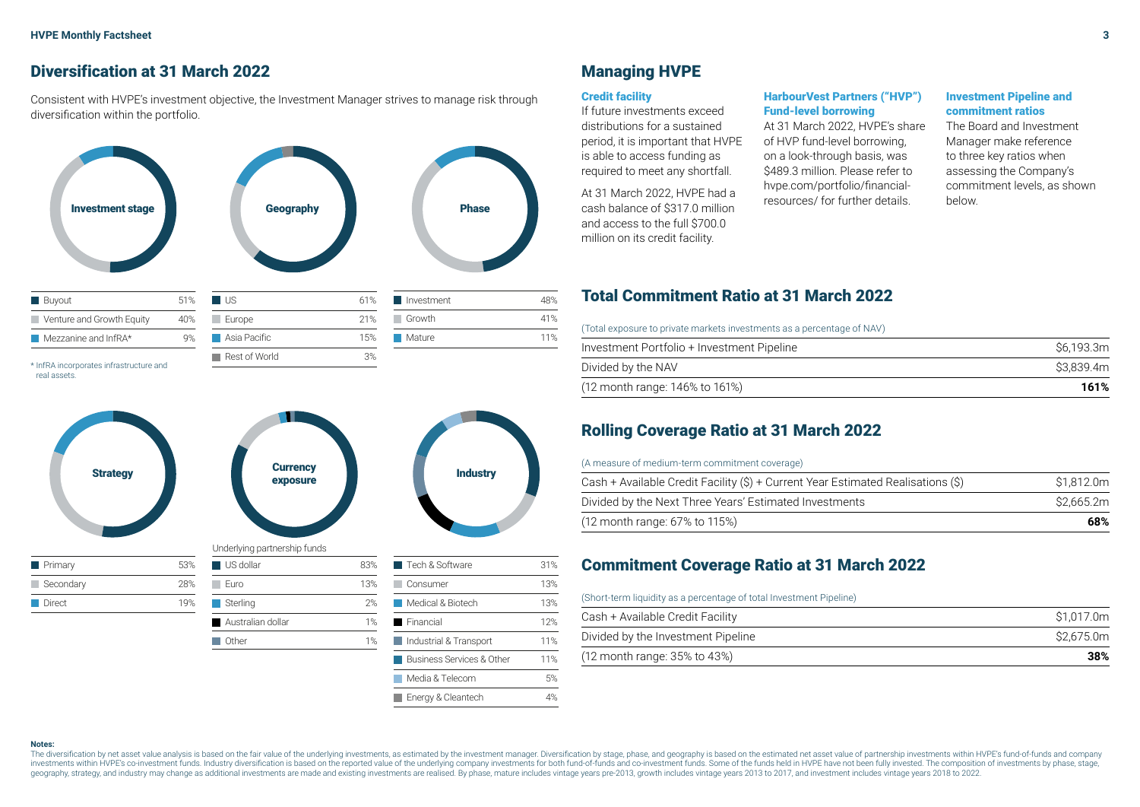# Diversification at 31 March 2022

Consistent with HVPE's investment objective, the Investment Manager strives to manage risk through diversification within the portfolio.



real assets.



# Managing HVPE

#### Credit facility

If future investments exceed distributions for a sustained period, it is important that HVPE is able to access funding as required to meet any shortfall.

At 31 March 2022, HVPE had a and access to the full \$700.0 million on its credit facility.

#### HarbourVest Partners ("HVP") Fund-level borrowing

At 31 March 2022, HVPE's share of HVP fund-level borrowing, on a look-through basis, was \$489.3 million. Please refer to hvpe.com/portfolio/financialresources/ for further details.

#### Investment Pipeline and commitment ratios

The Board and Investment Manager make reference to three key ratios when assessing the Company's commitment levels, as shown

# Total Commitment Ratio at 31 March 2022

(Total exposure to private markets investments as a percentage of NAV)

| S6.193.3m |
|-----------|
| S3.839.4m |
| 161%      |
|           |

# Rolling Coverage Ratio at 31 March 2022

#### (A measure of medium-term commitment coverage)

| Cash + Available Credit Facility (\$) + Current Year Estimated Realisations (\$) | \$1.812.0m |
|----------------------------------------------------------------------------------|------------|
| Divided by the Next Three Years' Estimated Investments                           | S2.665.2m  |
| (12 month range: 67% to 115%)                                                    | 68%        |

# Commitment Coverage Ratio at 31 March 2022

#### (Short-term liquidity as a percentage of total Investment Pipeline)

| Cash + Available Credit Facility   | \$1.017.0m |
|------------------------------------|------------|
| Divided by the Investment Pipeline | \$2.675.0m |
| (12 month range: 35% to 43%)       | 38%        |

#### **Notes:**

The diversification by net asset value analysis is based on the fair value of the underlying investments, as estimated by the investment manager. Diversification by stage, phase, and geography is based on the estimated net investments within HVPE's co-investment funds. Industry diversification is based on the reported value of the underlying company investments for both fund-of-funds and co-investment funds. Some of the funds held in HVPE ha geography, strategy, and industry may change as additional investments are made and existing investments are realised. By phase, mature includes vintage years pre-2013, growth includes vintage years 2013 to 2017, and inves

Business Services & Other 11% Media & Telecom 5% Energy & Cleantech 4%